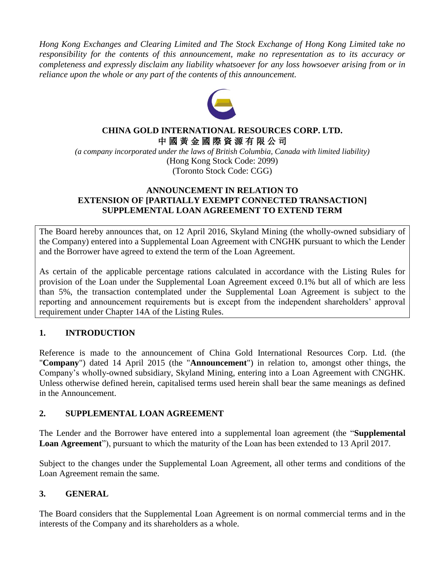*Hong Kong Exchanges and Clearing Limited and The Stock Exchange of Hong Kong Limited take no responsibility for the contents of this announcement, make no representation as to its accuracy or completeness and expressly disclaim any liability whatsoever for any loss howsoever arising from or in reliance upon the whole or any part of the contents of this announcement.* 



#### **CHINA GOLD INTERNATIONAL RESOURCES CORP. LTD.** 中 國 黃 金 國 際 資 源 有 限 公 司

*(a company incorporated under the laws of British Columbia, Canada with limited liability)* (Hong Kong Stock Code: 2099) (Toronto Stock Code: CGG)

#### **ANNOUNCEMENT IN RELATION TO EXTENSION OF [PARTIALLY EXEMPT CONNECTED TRANSACTION] SUPPLEMENTAL LOAN AGREEMENT TO EXTEND TERM**

The Board hereby announces that, on 12 April 2016, Skyland Mining (the wholly-owned subsidiary of the Company) entered into a Supplemental Loan Agreement with CNGHK pursuant to which the Lender and the Borrower have agreed to extend the term of the Loan Agreement.

As certain of the applicable percentage rations calculated in accordance with the Listing Rules for provision of the Loan under the Supplemental Loan Agreement exceed 0.1% but all of which are less than 5%, the transaction contemplated under the Supplemental Loan Agreement is subject to the reporting and announcement requirements but is except from the independent shareholders' approval requirement under Chapter 14A of the Listing Rules.

# **1. INTRODUCTION**

Reference is made to the announcement of China Gold International Resources Corp. Ltd. (the "**Company**") dated 14 April 2015 (the "**Announcement**") in relation to, amongst other things, the Company's wholly-owned subsidiary, Skyland Mining, entering into a Loan Agreement with CNGHK. Unless otherwise defined herein, capitalised terms used herein shall bear the same meanings as defined in the Announcement.

## **2. SUPPLEMENTAL LOAN AGREEMENT**

The Lender and the Borrower have entered into a supplemental loan agreement (the "**Supplemental Loan Agreement**"), pursuant to which the maturity of the Loan has been extended to 13 April 2017.

Subject to the changes under the Supplemental Loan Agreement, all other terms and conditions of the Loan Agreement remain the same.

## **3. GENERAL**

The Board considers that the Supplemental Loan Agreement is on normal commercial terms and in the interests of the Company and its shareholders as a whole.